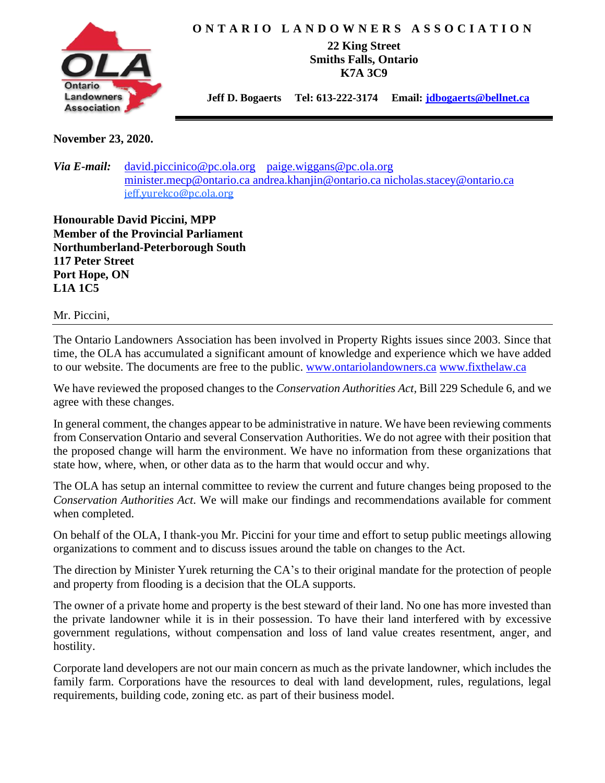

## **O N T A R I O L A N D O W N E R S A S S O C I A T I O N**

**22 King Street Smiths Falls, Ontario K7A 3C9**

 **Jeff D. Bogaerts Tel: 613-222-3174 Email: [jdbogaerts@bellnet.ca](mailto:jdbogaerts@bellnet.ca)**

**November 23, 2020.**

*Via E-mail:* [david.piccinico@pc.ola.org](mailto:david.piccinico@pc.ola.org) [paige.wiggans@pc.ola.org](mailto:paige.wiggans@pc.ola.org) [minister.mecp@ontario.ca](mailto:minister.mecp@ontario.ca) [andrea.khanjin@ontario.ca](mailto:%20andrea.khanjin@ontario.ca) [nicholas.stacey@ontario.ca](mailto:icholas.stacey@ontario.ca)  [jeff.yurekco@pc.ola.org](mailto:jeff.yurekco@pc.ola.org)

**Honourable David Piccini, MPP Member of the Provincial Parliament Northumberland-Peterborough South 117 Peter Street Port Hope, ON L1A 1C5**

Mr. Piccini,

The Ontario Landowners Association has been involved in Property Rights issues since 2003. Since that time, the OLA has accumulated a significant amount of knowledge and experience which we have added to our website. The documents are free to the public. [www.ontariolandowners.ca](http://www.ontariolandowners.ca/) [www.fixthelaw.ca](http://www.fixthelaw.ca/)

We have reviewed the proposed changes to the *Conservation Authorities Act,* Bill 229 Schedule 6, and we agree with these changes.

In general comment, the changes appear to be administrative in nature. We have been reviewing comments from Conservation Ontario and several Conservation Authorities. We do not agree with their position that the proposed change will harm the environment. We have no information from these organizations that state how, where, when, or other data as to the harm that would occur and why.

The OLA has setup an internal committee to review the current and future changes being proposed to the *Conservation Authorities Act*. We will make our findings and recommendations available for comment when completed.

On behalf of the OLA, I thank-you Mr. Piccini for your time and effort to setup public meetings allowing organizations to comment and to discuss issues around the table on changes to the Act.

The direction by Minister Yurek returning the CA's to their original mandate for the protection of people and property from flooding is a decision that the OLA supports.

The owner of a private home and property is the best steward of their land. No one has more invested than the private landowner while it is in their possession. To have their land interfered with by excessive government regulations, without compensation and loss of land value creates resentment, anger, and hostility.

Corporate land developers are not our main concern as much as the private landowner, which includes the family farm. Corporations have the resources to deal with land development, rules, regulations, legal requirements, building code, zoning etc. as part of their business model.